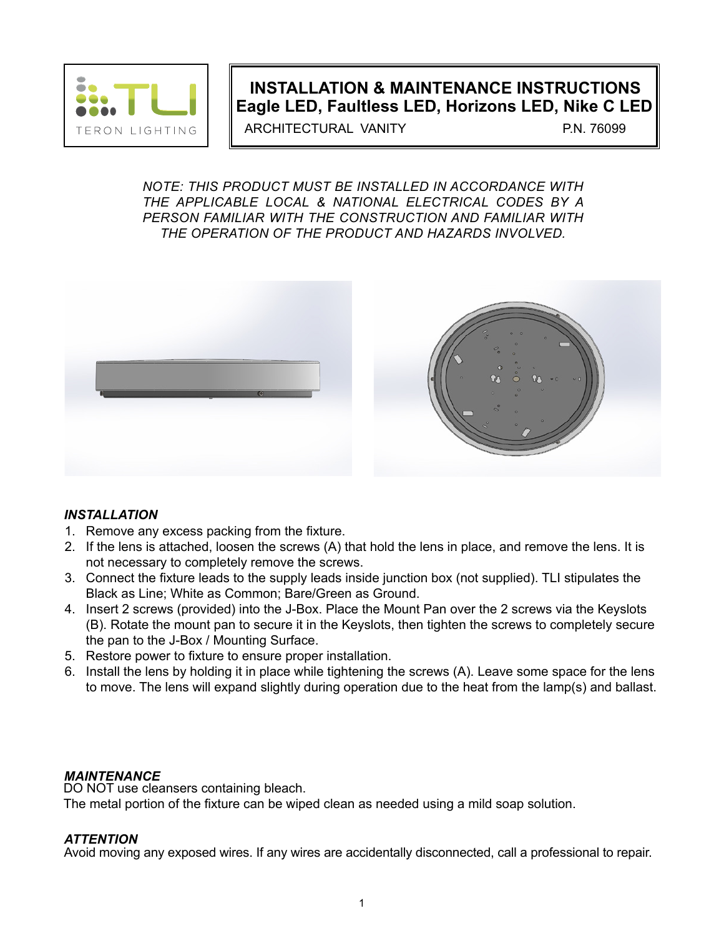

# **INSTALLATION & MAINTENANCE INSTRUCTIONS Eagle LED, Faultless LED, Horizons LED, Nike C LED**

ARCHITECTURAL VANITY P.N. 76099

*NOTE: THIS PRODUCT MUST BE INSTALLED IN ACCORDANCE WITH THE APPLICABLE LOCAL & NATIONAL ELECTRICAL CODES BY A PERSON FAMILIAR WITH THE CONSTRUCTION AND FAMILIAR WITH THE OPERATION OF THE PRODUCT AND HAZARDS INVOLVED.*



### *INSTALLATION*

- 1. Remove any excess packing from the fixture.
- 2. If the lens is attached, loosen the screws (A) that hold the lens in place, and remove the lens. It is not necessary to completely remove the screws.
- 3. Connect the fixture leads to the supply leads inside junction box (not supplied). TLI stipulates the Black as Line; White as Common; Bare/Green as Ground.
- 4. Insert 2 screws (provided) into the J-Box. Place the Mount Pan over the 2 screws via the Keyslots (B). Rotate the mount pan to secure it in the Keyslots, then tighten the screws to completely secure the pan to the J-Box / Mounting Surface.
- 5. Restore power to fixture to ensure proper installation.
- 6. Install the lens by holding it in place while tightening the screws (A). Leave some space for the lens to move. The lens will expand slightly during operation due to the heat from the lamp(s) and ballast.

### *MAINTENANCE*

DO NOT use cleansers containing bleach. The metal portion of the fixture can be wiped clean as needed using a mild soap solution.

#### *ATTENTION*

Avoid moving any exposed wires. If any wires are accidentally disconnected, call a professional to repair.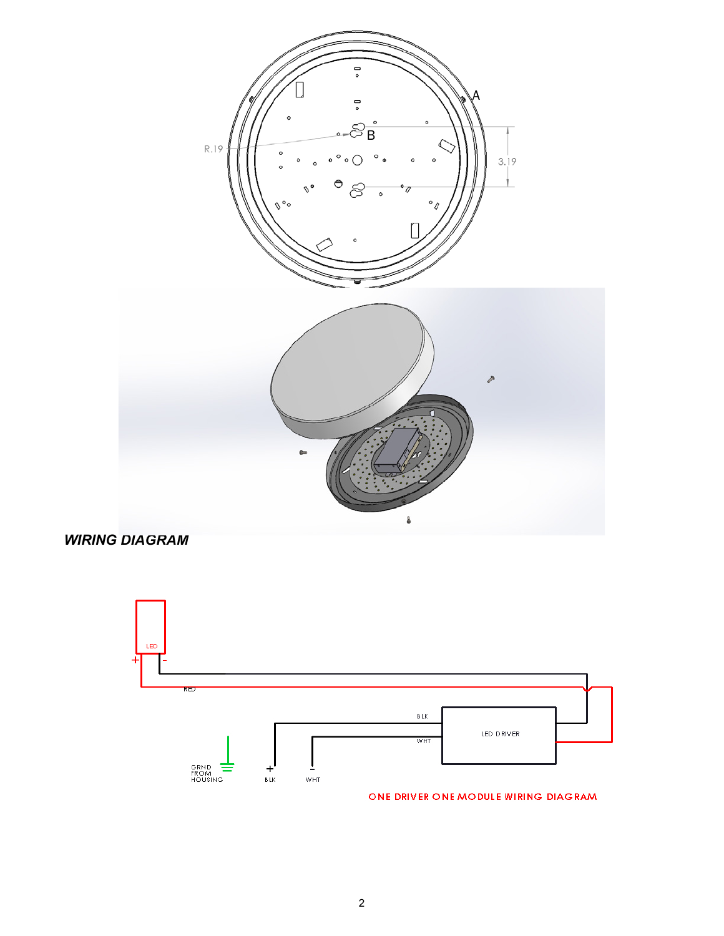

*WIRING DIAGRAM*



ONE DRIVER ONE MODULE WIRING DIAGRAM